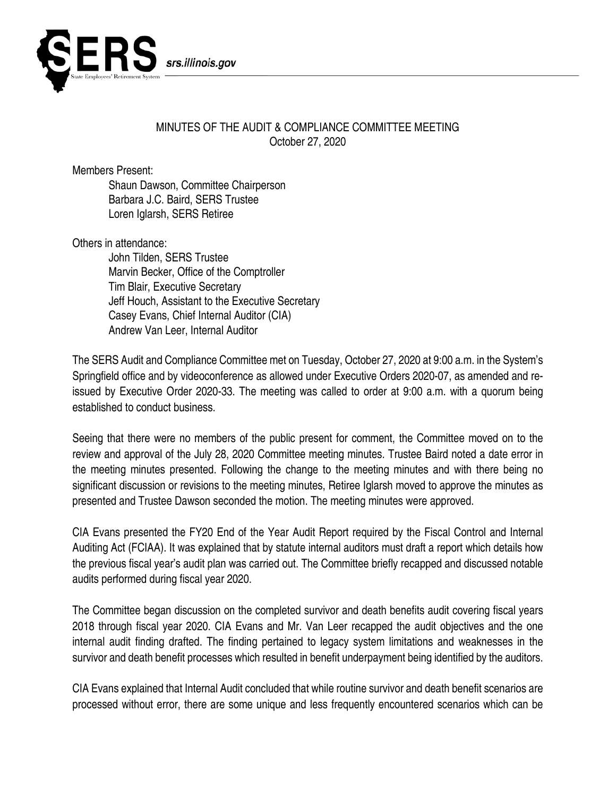

## MINUTES OF THE AUDIT & COMPLIANCE COMMITTEE MEETING October 27, 2020

Members Present:

Shaun Dawson, Committee Chairperson Barbara J.C. Baird, SERS Trustee Loren Iglarsh, SERS Retiree

Others in attendance:

John Tilden, SERS Trustee Marvin Becker, Office of the Comptroller Tim Blair, Executive Secretary Jeff Houch, Assistant to the Executive Secretary Casey Evans, Chief Internal Auditor (CIA) Andrew Van Leer, Internal Auditor

The SERS Audit and Compliance Committee met on Tuesday, October 27, 2020 at 9:00 a.m. in the System's Springfield office and by videoconference as allowed under Executive Orders 2020-07, as amended and reissued by Executive Order 2020-33. The meeting was called to order at 9:00 a.m. with a quorum being established to conduct business.

Seeing that there were no members of the public present for comment, the Committee moved on to the review and approval of the July 28, 2020 Committee meeting minutes. Trustee Baird noted a date error in the meeting minutes presented. Following the change to the meeting minutes and with there being no significant discussion or revisions to the meeting minutes, Retiree Iglarsh moved to approve the minutes as presented and Trustee Dawson seconded the motion. The meeting minutes were approved.

CIA Evans presented the FY20 End of the Year Audit Report required by the Fiscal Control and Internal Auditing Act (FCIAA). It was explained that by statute internal auditors must draft a report which details how the previous fiscal year's audit plan was carried out. The Committee briefly recapped and discussed notable audits performed during fiscal year 2020.

The Committee began discussion on the completed survivor and death benefits audit covering fiscal years 2018 through fiscal year 2020. CIA Evans and Mr. Van Leer recapped the audit objectives and the one internal audit finding drafted. The finding pertained to legacy system limitations and weaknesses in the survivor and death benefit processes which resulted in benefit underpayment being identified by the auditors.

CIA Evans explained that Internal Audit concluded that while routine survivor and death benefit scenarios are processed without error, there are some unique and less frequently encountered scenarios which can be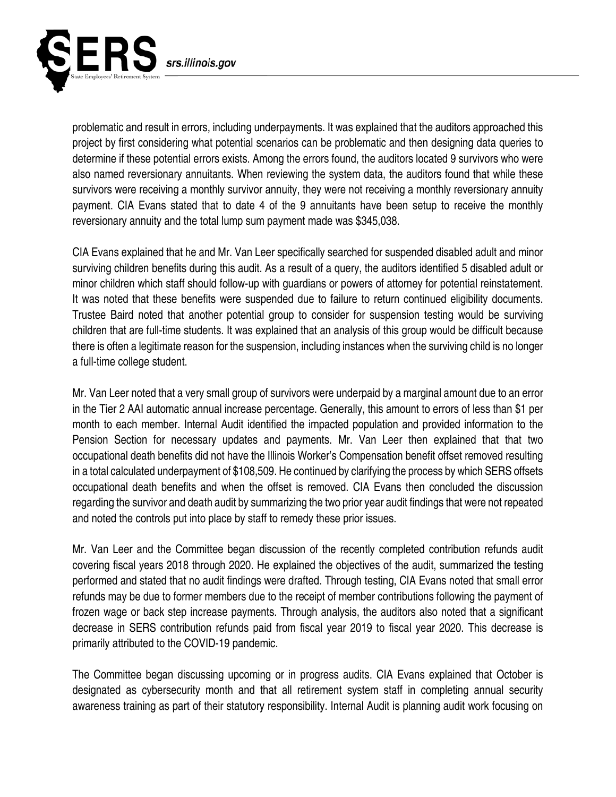

problematic and result in errors, including underpayments. It was explained that the auditors approached this project by first considering what potential scenarios can be problematic and then designing data queries to determine if these potential errors exists. Among the errors found, the auditors located 9 survivors who were also named reversionary annuitants. When reviewing the system data, the auditors found that while these survivors were receiving a monthly survivor annuity, they were not receiving a monthly reversionary annuity payment. CIA Evans stated that to date 4 of the 9 annuitants have been setup to receive the monthly reversionary annuity and the total lump sum payment made was \$345,038.

CIA Evans explained that he and Mr. Van Leer specifically searched for suspended disabled adult and minor surviving children benefits during this audit. As a result of a query, the auditors identified 5 disabled adult or minor children which staff should follow-up with guardians or powers of attorney for potential reinstatement. It was noted that these benefits were suspended due to failure to return continued eligibility documents. Trustee Baird noted that another potential group to consider for suspension testing would be surviving children that are full-time students. It was explained that an analysis of this group would be difficult because there is often a legitimate reason for the suspension, including instances when the surviving child is no longer a full-time college student.

Mr. Van Leer noted that a very small group of survivors were underpaid by a marginal amount due to an error in the Tier 2 AAI automatic annual increase percentage. Generally, this amount to errors of less than \$1 per month to each member. Internal Audit identified the impacted population and provided information to the Pension Section for necessary updates and payments. Mr. Van Leer then explained that that two occupational death benefits did not have the Illinois Worker's Compensation benefit offset removed resulting in a total calculated underpayment of \$108,509. He continued by clarifying the process by which SERS offsets occupational death benefits and when the offset is removed. CIA Evans then concluded the discussion regarding the survivor and death audit by summarizing the two prior year audit findings that were not repeated and noted the controls put into place by staff to remedy these prior issues.

Mr. Van Leer and the Committee began discussion of the recently completed contribution refunds audit covering fiscal years 2018 through 2020. He explained the objectives of the audit, summarized the testing performed and stated that no audit findings were drafted. Through testing, CIA Evans noted that small error refunds may be due to former members due to the receipt of member contributions following the payment of frozen wage or back step increase payments. Through analysis, the auditors also noted that a significant decrease in SERS contribution refunds paid from fiscal year 2019 to fiscal year 2020. This decrease is primarily attributed to the COVID-19 pandemic.

The Committee began discussing upcoming or in progress audits. CIA Evans explained that October is designated as cybersecurity month and that all retirement system staff in completing annual security awareness training as part of their statutory responsibility. Internal Audit is planning audit work focusing on